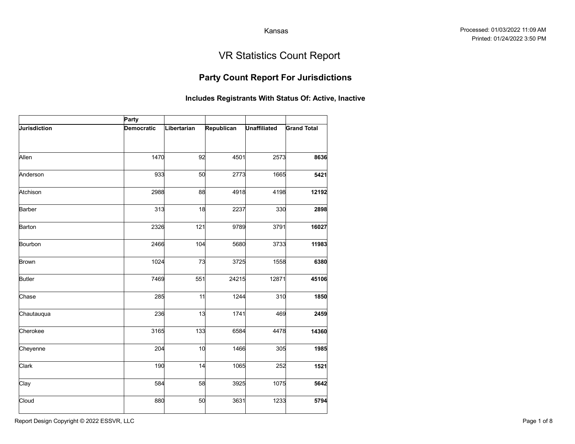## Party Count Report For Jurisdictions

|                     |                     |             |            | Kansas              |                                                       |
|---------------------|---------------------|-------------|------------|---------------------|-------------------------------------------------------|
|                     |                     |             |            |                     | <b>VR Statistics Count Report</b>                     |
|                     |                     |             |            |                     | <b>Party Count Report For Jurisdictions</b>           |
|                     |                     |             |            |                     | Includes Registrants With Status Of: Active, Inactive |
| <b>Jurisdiction</b> | Party<br>Democratic | Libertarian | Republican | <b>Unaffiliated</b> | <b>Grand Total</b>                                    |
| Allen               | 1470                | 92          | 4501       | 2573                | 8636                                                  |
| Anderson            | 933                 | 50          | 2773       | 1665                | 5421                                                  |
| Atchison            | 2988                | 88          | 4918       | 4198                | 12192                                                 |
| Barber              | 313                 | 18          | 2237       | 330                 | 2898                                                  |
| Barton              | 2326                | 121         | 9789       | 3791                | 16027                                                 |
| Bourbon             | 2466                | 104         | 5680       | 3733                | 11983                                                 |
| <b>Brown</b>        | 1024                | 73          | 3725       | 1558                | 6380                                                  |
| <b>Butler</b>       | 7469                | 551         | 24215      | 12871               | 45106                                                 |
| Chase               | 285                 | 11          | 1244       | 310                 | 1850                                                  |
| Chautauqua          | 236                 | 13          | 1741       | 469                 | 2459                                                  |
| Cherokee            | 3165                | 133         | 6584       | 4478                | 14360                                                 |
| Cheyenne            | 204                 | 10          | 1466       | 305                 | 1985                                                  |
| Clark               | 190                 | 14          | 1065       | 252                 | 1521                                                  |
| Clay                | 584                 | 58          | 3925       | 1075                | 5642                                                  |
| Cloud               | 880                 | 50          | 3631       | 1233                | 5794                                                  |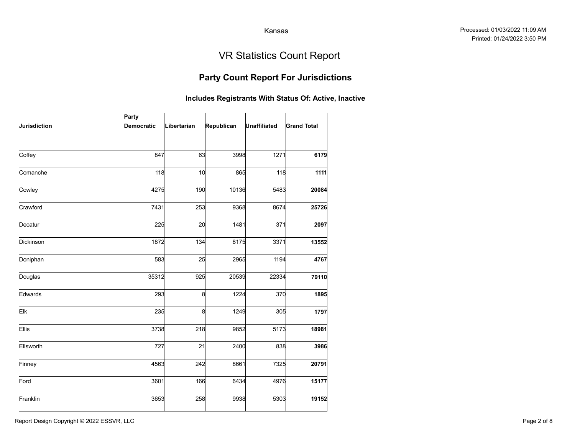## Party Count Report For Jurisdictions

|              |            |             |                                                       | Kansas              |                                   |
|--------------|------------|-------------|-------------------------------------------------------|---------------------|-----------------------------------|
|              |            |             |                                                       |                     | <b>VR Statistics Count Report</b> |
|              |            |             | <b>Party Count Report For Jurisdictions</b>           |                     |                                   |
|              |            |             | Includes Registrants With Status Of: Active, Inactive |                     |                                   |
|              | Party      |             |                                                       |                     |                                   |
| Jurisdiction | Democratic | Libertarian | Republican                                            | <b>Unaffiliated</b> | <b>Grand Total</b>                |
|              |            |             |                                                       |                     |                                   |
| Coffey       | 847        | 63          | 3998                                                  | 1271                | 6179                              |
| Comanche     | 118        | 10          | 865                                                   | 118                 | 1111                              |
| Cowley       | 4275       | 190         | 10136                                                 | 5483                | 20084                             |
| Crawford     | 7431       | 253         | 9368                                                  | 8674                | 25726                             |
| Decatur      | 225        | 20          | 1481                                                  | 371                 | 2097                              |
| Dickinson    | 1872       | 134         | 8175                                                  | 3371                | 13552                             |
| Doniphan     | 583        | 25          | 2965                                                  | 1194                | 4767                              |
| Douglas      | 35312      | 925         | 20539                                                 | 22334               | 79110                             |
| Edwards      | 293        | 8           | 1224                                                  | 370                 | 1895                              |
| Elk          | 235        | 8           | 1249                                                  | 305                 | 1797                              |
| Ellis        | 3738       | 218         | 9852                                                  | 5173                | 18981                             |
| Ellsworth    | 727        | 21          | 2400                                                  | 838                 | 3986                              |
| Finney       | 4563       | 242         | 8661                                                  | 7325                | 20791                             |
| Ford         | 3601       | 166         | 6434                                                  | 4976                | 15177                             |
| Franklin     | 3653       | 258         | 9938                                                  | 5303                | 19152                             |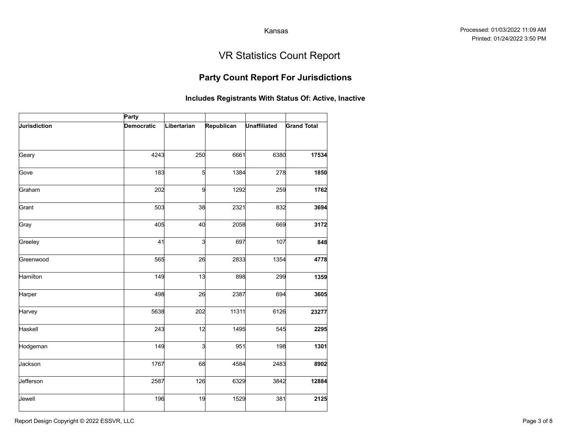## Party Count Report For Jurisdictions

|              |                   |             |                                                       | Kansas              |                                   |
|--------------|-------------------|-------------|-------------------------------------------------------|---------------------|-----------------------------------|
|              |                   |             |                                                       |                     | <b>VR Statistics Count Report</b> |
|              |                   |             | <b>Party Count Report For Jurisdictions</b>           |                     |                                   |
|              |                   |             | Includes Registrants With Status Of: Active, Inactive |                     |                                   |
|              | Party             |             |                                                       |                     |                                   |
| Jurisdiction | <b>Democratic</b> | Libertarian | Republican                                            | <b>Unaffiliated</b> | <b>Grand Total</b>                |
| Geary        | 4243              | 250         | 6661                                                  | 6380                | 17534                             |
| Gove         | 183               | 5           | 1384                                                  | 278                 | 1850                              |
| Graham       | 202               | 9           | 1292                                                  | 259                 | 1762                              |
| Grant        | 503               | 38          | 2321                                                  | 832                 | 3694                              |
| Gray         | 405               | 40          | 2058                                                  | 669                 | 3172                              |
| Greeley      | 41                | 3           | 697                                                   | 107                 | 848                               |
| Greenwood    | 565               | 26          | 2833                                                  | 1354                | 4778                              |
| Hamilton     | 149               | 13          | 898                                                   | 299                 | 1359                              |
| Harper       | 498               | 26          | 2387                                                  | 694                 | 3605                              |
| Harvey       | 5638              | 202         | 11311                                                 | 6126                | 23277                             |
| Haskell      | 243               | 12          | 1495                                                  | 545                 | 2295                              |
| Hodgeman     | 149               | 3           | 951                                                   | 198                 | 1301                              |
| Jackson      | 1767              | 68          | 4584                                                  | 2483                | 8902                              |
| Jefferson    | 2587              | 126         | 6329                                                  | 3842                | 12884                             |
| Jewell       | 196               | 19          | 1529                                                  | 381                 | 2125                              |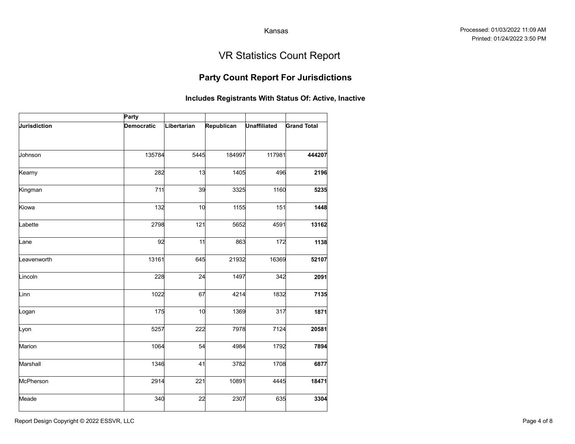## Party Count Report For Jurisdictions

|              |                   |             |                                                       | Kansas              |                                   |
|--------------|-------------------|-------------|-------------------------------------------------------|---------------------|-----------------------------------|
|              |                   |             |                                                       |                     | <b>VR Statistics Count Report</b> |
|              |                   |             | <b>Party Count Report For Jurisdictions</b>           |                     |                                   |
|              |                   |             | Includes Registrants With Status Of: Active, Inactive |                     |                                   |
|              | Party             |             |                                                       |                     |                                   |
| Jurisdiction | <b>Democratic</b> | Libertarian | Republican                                            | <b>Unaffiliated</b> | <b>Grand Total</b>                |
| Johnson      | 135784            | 5445        | 184997                                                | 117981              | 444207                            |
| Kearny       | 282               | 13          | 1405                                                  | 496                 | 2196                              |
| Kingman      | 711               | 39          | 3325                                                  | 1160                | 5235                              |
| Kiowa        | 132               | 10          | 1155                                                  | 151                 | 1448                              |
| Labette      | 2798              | 121         | 5652                                                  | 4591                | 13162                             |
| Lane         | 92                | 11          | 863                                                   | 172                 | 1138                              |
| .eavenworth  | 13161             | 645         | 21932                                                 | 16369               | 52107                             |
| Lincoln      | 228               | 24          | 1497                                                  | 342                 | 2091                              |
| Linn         | 1022              | 67          | 4214                                                  | 1832                | 7135                              |
| Logan        | 175               | 10          | 1369                                                  | 317                 | 1871                              |
| Lyon         | 5257              | 222         | 7978                                                  | 7124                | 20581                             |
| Marion       | 1064              | 54          | 4984                                                  | 1792                | 7894                              |
| Marshall     | 1346              | 41          | 3782                                                  | 1708                | 6877                              |
| McPherson    | 2914              | 221         | 10891                                                 | 4445                | 18471                             |
| Meade        | 340               | 22          | 2307                                                  | 635                 | 3304                              |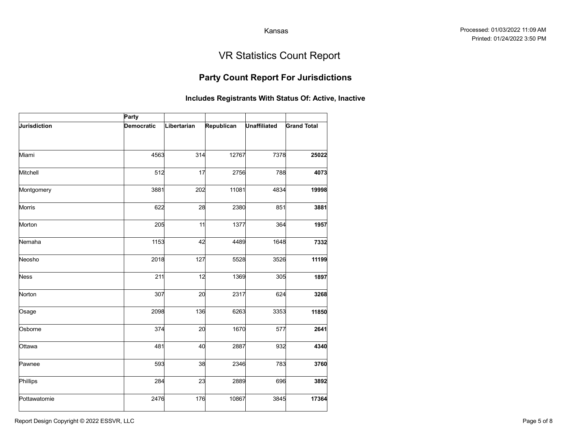## Party Count Report For Jurisdictions

|                     |            |             |                                                       | Kansas              |                                   |
|---------------------|------------|-------------|-------------------------------------------------------|---------------------|-----------------------------------|
|                     |            |             |                                                       |                     | <b>VR Statistics Count Report</b> |
|                     |            |             | <b>Party Count Report For Jurisdictions</b>           |                     |                                   |
|                     |            |             | Includes Registrants With Status Of: Active, Inactive |                     |                                   |
|                     | Party      |             |                                                       |                     |                                   |
| <b>Jurisdiction</b> | Democratic | Libertarian | Republican                                            | <b>Unaffiliated</b> | <b>Grand Total</b>                |
|                     |            |             |                                                       |                     |                                   |
| Miami               | 4563       | 314         | 12767                                                 | 7378                | 25022                             |
| Mitchell            | 512        | 17          | 2756                                                  | 788                 | 4073                              |
| Montgomery          | 3881       | 202         | 11081                                                 | 4834                | 19998                             |
| Morris              | 622        | 28          | 2380                                                  | 851                 | 3881                              |
| Morton              | 205        | 11          | 1377                                                  | 364                 | 1957                              |
| Nemaha              | 1153       | 42          | 4489                                                  | 1648                | 7332                              |
| Neosho              | 2018       | 127         | 5528                                                  | 3526                | 11199                             |
| <b>Ness</b>         | 211        | 12          | 1369                                                  | 305                 | 1897                              |
| Norton              | 307        | 20          | 2317                                                  | 624                 | 3268                              |
| Osage               | 2098       | 136         | 6263                                                  | 3353                | 11850                             |
| Osborne             | 374        | 20          | 1670                                                  | 577                 | 2641                              |
| Ottawa              | 481        | 40          | 2887                                                  | 932                 | 4340                              |
| Pawnee              | 593        | 38          | 2346                                                  | 783                 | 3760                              |
| Phillips            | 284        | 23          | 2889                                                  | 696                 | 3892                              |
| Pottawatomie        | 2476       | 176         | 10867                                                 | 3845                | 17364                             |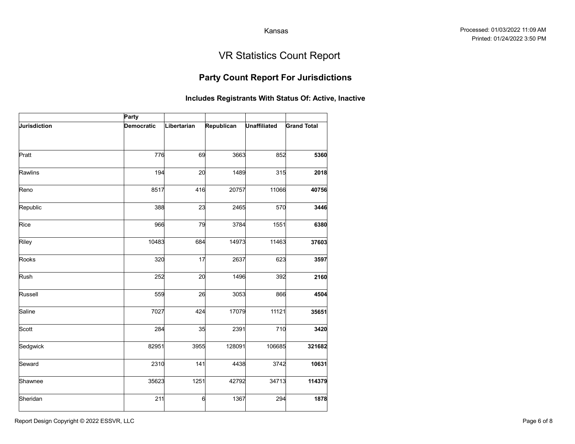## Party Count Report For Jurisdictions

|              |                   |             |                                                       | Kansas              |                                   |
|--------------|-------------------|-------------|-------------------------------------------------------|---------------------|-----------------------------------|
|              |                   |             |                                                       |                     | <b>VR Statistics Count Report</b> |
|              |                   |             | <b>Party Count Report For Jurisdictions</b>           |                     |                                   |
|              |                   |             | Includes Registrants With Status Of: Active, Inactive |                     |                                   |
|              | Party             |             |                                                       |                     |                                   |
| Jurisdiction | <b>Democratic</b> | Libertarian | Republican                                            | <b>Unaffiliated</b> | <b>Grand Total</b>                |
| Pratt        | 776               | 69          | 3663                                                  | 852                 | 5360                              |
| Rawlins      | 194               | 20          | 1489                                                  | 315                 | 2018                              |
| Reno         | 8517              | 416         | 20757                                                 | 11066               | 40756                             |
| Republic     | 388               | 23          | 2465                                                  | 570                 | 3446                              |
| Rice         | 966               | 79          | 3784                                                  | 1551                | 6380                              |
| Riley        | 10483             | 684         | 14973                                                 | 11463               | 37603                             |
| Rooks        | 320               | 17          | 2637                                                  | 623                 | 3597                              |
| Rush         | 252               | 20          | 1496                                                  | 392                 | 2160                              |
| Russell      | 559               | 26          | 3053                                                  | 866                 | 4504                              |
| Saline       | 7027              | 424         | 17079                                                 | 11121               | 35651                             |
| Scott        | 284               | 35          | 2391                                                  | 710                 | 3420                              |
| Sedgwick     | 82951             | 3955        | 128091                                                | 106685              | 321682                            |
| Seward       | 2310              | 141         | 4438                                                  | 3742                | 10631                             |
| Shawnee      | 35623             | 1251        | 42792                                                 | 34713               | 114379                            |
| Sheridan     | 211               | 6           | 1367                                                  | 294                 | 1878                              |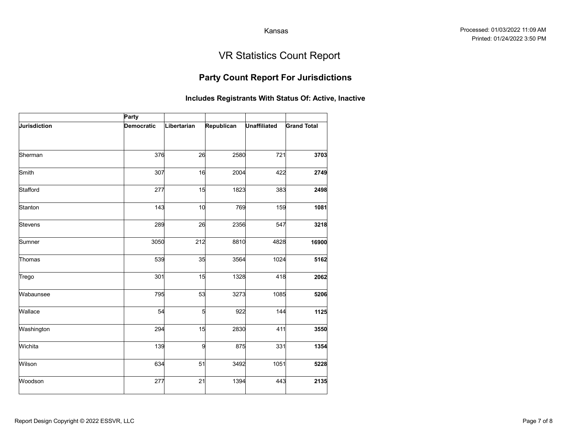## Party Count Report For Jurisdictions

|              |            |             |                        | Kansas              |                                                       |
|--------------|------------|-------------|------------------------|---------------------|-------------------------------------------------------|
|              |            |             |                        |                     | <b>VR Statistics Count Report</b>                     |
|              |            |             |                        |                     | <b>Party Count Report For Jurisdictions</b>           |
|              |            |             |                        |                     | Includes Registrants With Status Of: Active, Inactive |
|              | Party      |             |                        |                     |                                                       |
| Jurisdiction | Democratic | Libertarian | Republican             | <b>Unaffiliated</b> | <b>Grand Total</b>                                    |
| Sherman      | 376        | 26          | 2580                   | 721                 | 3703                                                  |
| Smith        | 307        | 16          | 2004                   | 422                 | 2749                                                  |
|              | 277        | 15          |                        | 383                 |                                                       |
| Stafford     |            |             | 1823                   |                     | 2498                                                  |
| Stanton      | 143        | 10          | 769                    | 159                 | 1081                                                  |
| Stevens      | 289        | 26          | 2356                   | 547                 | 3218                                                  |
| Sumner       | 3050       | 212         | 8810                   | 4828                | 16900                                                 |
| Thomas       | 539        | 35          | 3564                   | 1024                | 5162                                                  |
| Trego        | 301        | 15          | 1328                   | 418                 | 2062                                                  |
| Wabaunsee    | 795        | 53          | 3273                   | 1085                | 5206                                                  |
| Wallace      | 54         |             | $5\overline{a}$<br>922 | 144                 | 1125                                                  |
| Washington   | 294        | 15          | 2830                   | 411                 | 3550                                                  |
| Wichita      | 139        |             | 875<br>9               | 331                 | 1354                                                  |
| Wilson       | 634        | 51          | 3492                   | 1051                | 5228                                                  |
| Woodson      | 277        | 21          | 1394                   | 443                 | 2135                                                  |